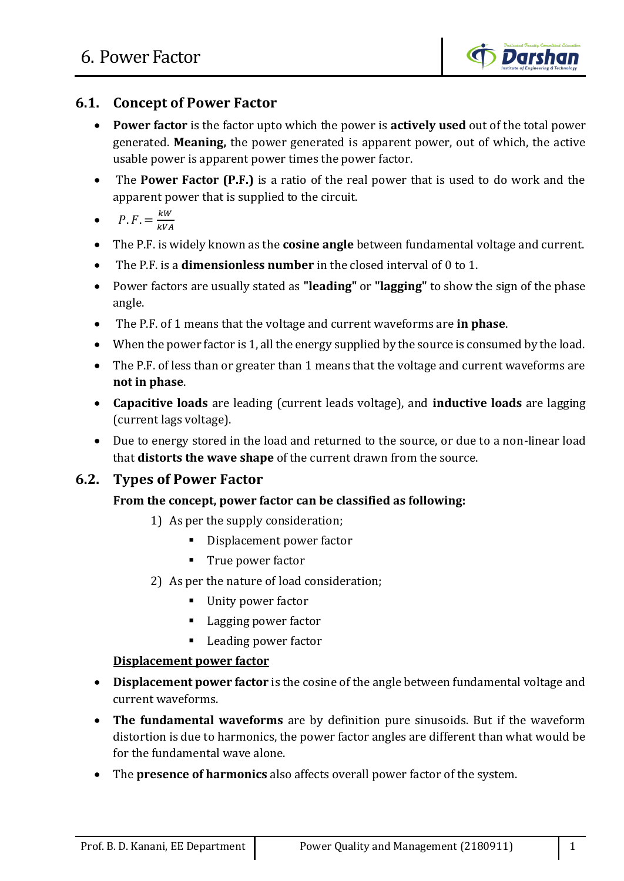

# **6.1. Concept of Power Factor**

- **Power factor** is the factor upto which the power is **actively used** out of the total power generated. **Meaning,** the power generated is apparent power, out of which, the active usable power is apparent power times the power factor.
- The **Power Factor (P.F.)** is a ratio of the real power that is used to do work and the apparent power that is supplied to the circuit.

• 
$$
P.F. = \frac{kW}{kVA}
$$

- The P.F. is widely known as the **cosine angle** between fundamental voltage and current.
- The P.F. is a **dimensionless number** in the closed interval of 0 to 1.
- Power factors are usually stated as **"leading"** or **"lagging"** to show the sign of the phase angle.
- The P.F. of 1 means that the voltage and current waveforms are **in phase**.
- When the power factor is 1, all the energy supplied by the source is consumed by the load.
- The P.F. of less than or greater than 1 means that the voltage and current waveforms are **not in phase**.
- **Capacitive loads** are leading (current leads voltage), and **inductive loads** are lagging (current lags voltage).
- Due to energy stored in the load and returned to the source, or due to a non-linear load that **distorts the wave shape** of the current drawn from the source.

## **6.2. Types of Power Factor**

#### **From the concept, power factor can be classified as following:**

- 1) As per the supply consideration;
	- Displacement power factor
	- **True power factor**
- 2) As per the nature of load consideration;
	- Unity power factor
	- Lagging power factor
	- Leading power factor

#### **Displacement power factor**

- **Displacement power factor** is the cosine of the angle between fundamental voltage and current waveforms.
- **The fundamental waveforms** are by definition pure sinusoids. But if the waveform distortion is due to harmonics, the power factor angles are different than what would be for the fundamental wave alone.
- The **presence of harmonics** also affects overall power factor of the system.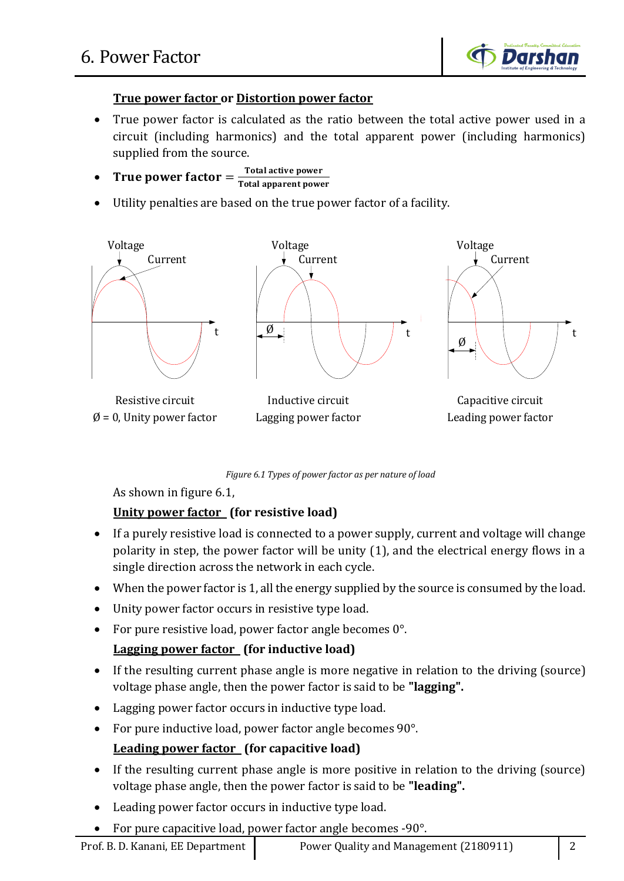

#### **True power factor or Distortion power factor**

- True power factor is calculated as the ratio between the total active power used in a circuit (including harmonics) and the total apparent power (including harmonics) supplied from the source.
- True power factor  $=\frac{\text{Total active power}}{\text{Total amount power}}$ **Total apparent power**
- Utility penalties are based on the true power factor of a facility.



*Figure 6.1 Types of power factor as per nature of load*

As shown in figure 6.1,

## **Unity power factor (for resistive load)**

- If a purely resistive load is connected to a power supply, current and voltage will change polarity in step, the power factor will be unity (1), and the electrical energy flows in a single direction across the network in each cycle.
- When the power factor is 1, all the energy supplied by the source is consumed by the load.
- Unity power factor occurs in resistive type load.
- For pure resistive load, power factor angle becomes 0°.

## **Lagging power factor (for inductive load)**

- If the resulting current phase angle is more negative in relation to the driving (source) voltage phase angle, then the power factor is said to be **"lagging".**
- Lagging power factor occurs in inductive type load.
- For pure inductive load, power factor angle becomes 90°.

## **Leading power factor (for capacitive load)**

- If the resulting current phase angle is more positive in relation to the driving (source) voltage phase angle, then the power factor is said to be **"leading".**
- Leading power factor occurs in inductive type load.
- For pure capacitive load, power factor angle becomes -90°.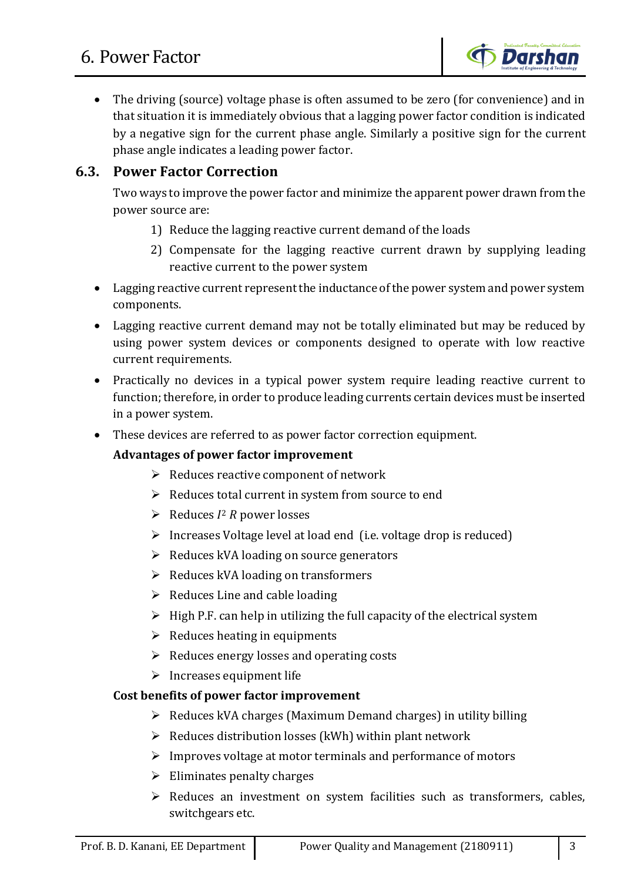

 The driving (source) voltage phase is often assumed to be zero (for convenience) and in that situation it is immediately obvious that a lagging power factor condition is indicated by a negative sign for the current phase angle. Similarly a positive sign for the current phase angle indicates a leading power factor.

# **6.3. Power Factor Correction**

Two ways to improve the power factor and minimize the apparent power drawn from the power source are:

- 1) Reduce the lagging reactive current demand of the loads
- 2) Compensate for the lagging reactive current drawn by supplying leading reactive current to the power system
- Lagging reactive current represent the inductance of the power system and power system components.
- Lagging reactive current demand may not be totally eliminated but may be reduced by using power system devices or components designed to operate with low reactive current requirements.
- Practically no devices in a typical power system require leading reactive current to function; therefore, in order to produce leading currents certain devices must be inserted in a power system.
- These devices are referred to as power factor correction equipment.

#### **Advantages of power factor improvement**

- $\triangleright$  Reduces reactive component of network
- $\triangleright$  Reduces total current in system from source to end
- $\triangleright$  Reduces  $I^2$  R power losses
- $\triangleright$  Increases Voltage level at load end (i.e. voltage drop is reduced)
- $\triangleright$  Reduces kVA loading on source generators
- $\triangleright$  Reduces kVA loading on transformers
- $\triangleright$  Reduces Line and cable loading
- $\triangleright$  High P.F. can help in utilizing the full capacity of the electrical system
- $\triangleright$  Reduces heating in equipments
- $\triangleright$  Reduces energy losses and operating costs
- $\triangleright$  Increases equipment life

#### **Cost benefits of power factor improvement**

- $\triangleright$  Reduces kVA charges (Maximum Demand charges) in utility billing
- $\triangleright$  Reduces distribution losses (kWh) within plant network
- $\triangleright$  Improves voltage at motor terminals and performance of motors
- $\triangleright$  Eliminates penalty charges
- $\triangleright$  Reduces an investment on system facilities such as transformers, cables, switchgears etc.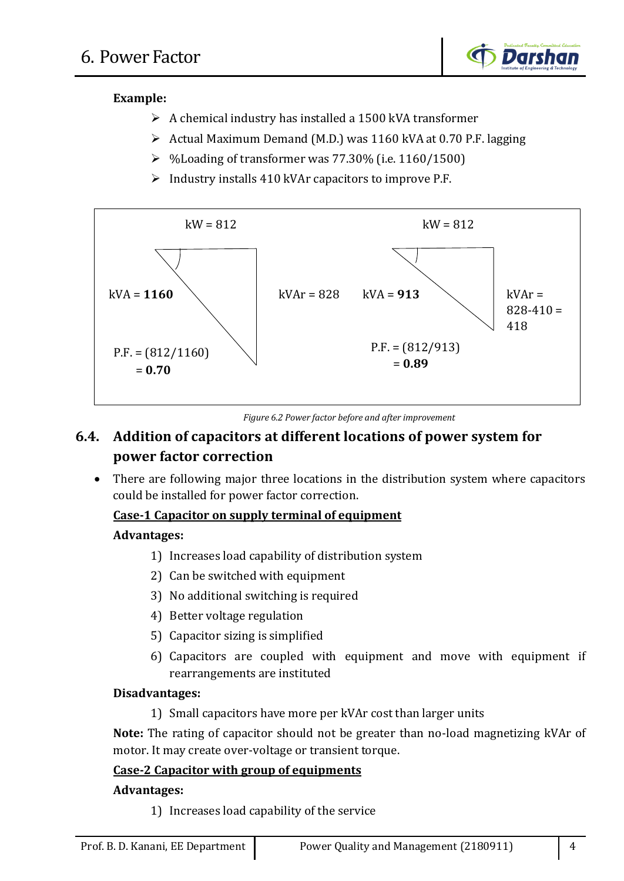

## **Example:**

- $\triangleright$  A chemical industry has installed a 1500 kVA transformer
- $\triangleright$  Actual Maximum Demand (M.D.) was 1160 kVA at 0.70 P.F. lagging
- $\triangleright$  %Loading of transformer was 77.30% (i.e. 1160/1500)
- $\triangleright$  Industry installs 410 kVAr capacitors to improve P.F.



*Figure 6.2 Power factor before and after improvement*

# **6.4. Addition of capacitors at different locations of power system for power factor correction**

• There are following major three locations in the distribution system where capacitors could be installed for power factor correction.

#### **Case-1 Capacitor on supply terminal of equipment**

#### **Advantages:**

- 1) Increases load capability of distribution system
- 2) Can be switched with equipment
- 3) No additional switching is required
- 4) Better voltage regulation
- 5) Capacitor sizing is simplified
- 6) Capacitors are coupled with equipment and move with equipment if rearrangements are instituted

#### **Disadvantages:**

1) Small capacitors have more per kVAr cost than larger units

**Note:** The rating of capacitor should not be greater than no-load magnetizing kVAr of motor. It may create over-voltage or transient torque.

## **Case-2 Capacitor with group of equipments**

#### **Advantages:**

1) Increases load capability of the service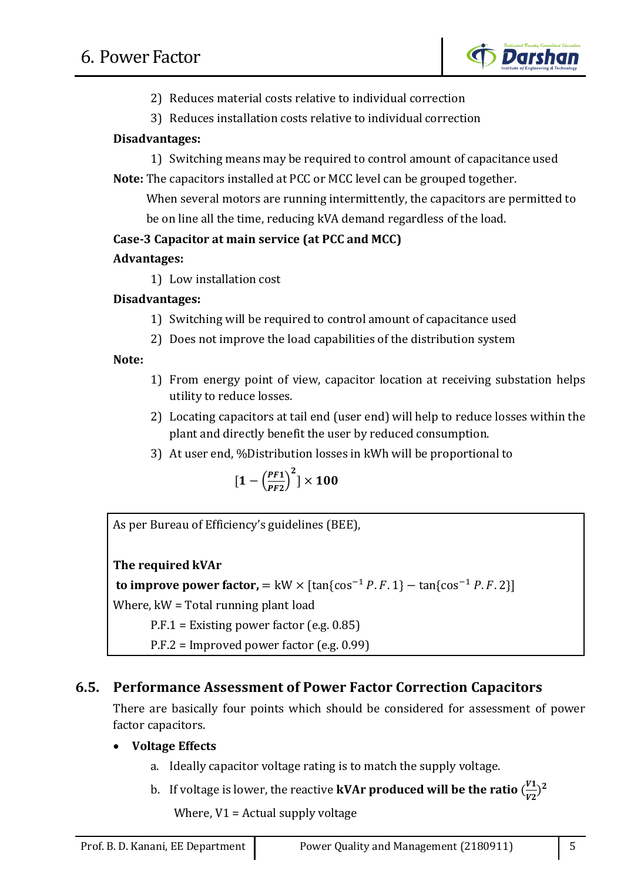

- 2) Reduces material costs relative to individual correction
- 3) Reduces installation costs relative to individual correction

## **Disadvantages:**

1) Switching means may be required to control amount of capacitance used **Note:** The capacitors installed at PCC or MCC level can be grouped together.

 When several motors are running intermittently, the capacitors are permitted to be on line all the time, reducing kVA demand regardless of the load.

## **Case-3 Capacitor at main service (at PCC and MCC)**

#### **Advantages:**

1) Low installation cost

#### **Disadvantages:**

- 1) Switching will be required to control amount of capacitance used
- 2) Does not improve the load capabilities of the distribution system

#### **Note:**

- 1) From energy point of view, capacitor location at receiving substation helps utility to reduce losses.
- 2) Locating capacitors at tail end (user end) will help to reduce losses within the plant and directly benefit the user by reduced consumption.
- 3) At user end, %Distribution losses in kWh will be proportional to

$$
[1-\left(\frac{PF1}{PF2}\right)^2]\times 100
$$

As per Bureau of Efficiency's guidelines (BEE),

## **The required kVAr**

**to improve power factor,**  $=$  kW  $\times$  [tan{cos<sup>-1</sup>  $P.F.1$ }  $-$  tan{cos<sup>-1</sup>  $P.F.2$ }]

Where, kW = Total running plant load

P.F.1 = Existing power factor (e.g. 0.85)

P.F.2 = Improved power factor (e.g. 0.99)

# **6.5. Performance Assessment of Power Factor Correction Capacitors**

There are basically four points which should be considered for assessment of power factor capacitors.

## **Voltage Effects**

- a. Ideally capacitor voltage rating is to match the supply voltage.
- b. If voltage is lower, the reactive **kVAr produced will be the ratio**  $\left(\frac{V^2}{V^2}\right)$  $\frac{V_1}{V_2}$ <sup>2</sup>

Where,  $V1$  = Actual supply voltage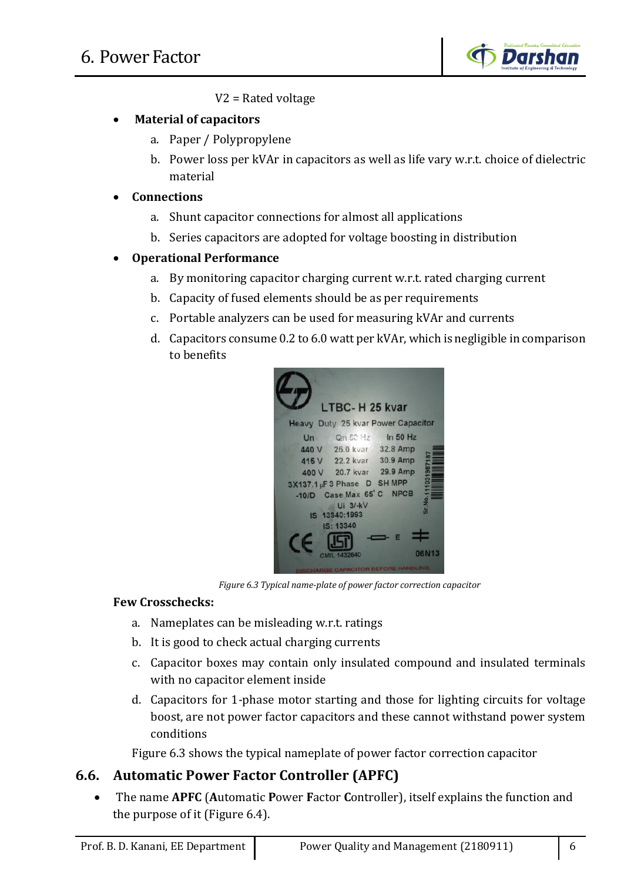

V2 = Rated voltage

## **Material of capacitors**

- a. Paper / Polypropylene
- b. Power loss per kVAr in capacitors as well as life vary w.r.t. choice of dielectric material
- **Connections**
	- a. Shunt capacitor connections for almost all applications
	- b. Series capacitors are adopted for voltage boosting in distribution

## **Operational Performance**

- a. By monitoring capacitor charging current w.r.t. rated charging current
- b. Capacity of fused elements should be as per requirements
- c. Portable analyzers can be used for measuring kVAr and currents
- d. Capacitors consume 0.2 to 6.0 watt per kVAr, which is negligible in comparison to benefits



*Figure 6.3 Typical name-plate of power factor correction capacitor*

#### **Few Crosschecks:**

- a. Nameplates can be misleading w.r.t. ratings
- b. It is good to check actual charging currents
- c. Capacitor boxes may contain only insulated compound and insulated terminals with no capacitor element inside
- d. Capacitors for 1-phase motor starting and those for lighting circuits for voltage boost, are not power factor capacitors and these cannot withstand power system conditions

Figure 6.3 shows the typical nameplate of power factor correction capacitor

# **6.6. Automatic Power Factor Controller (APFC)**

 The name **APFC** (**A**utomatic **P**ower **F**actor **C**ontroller), itself explains the function and the purpose of it (Figure 6.4).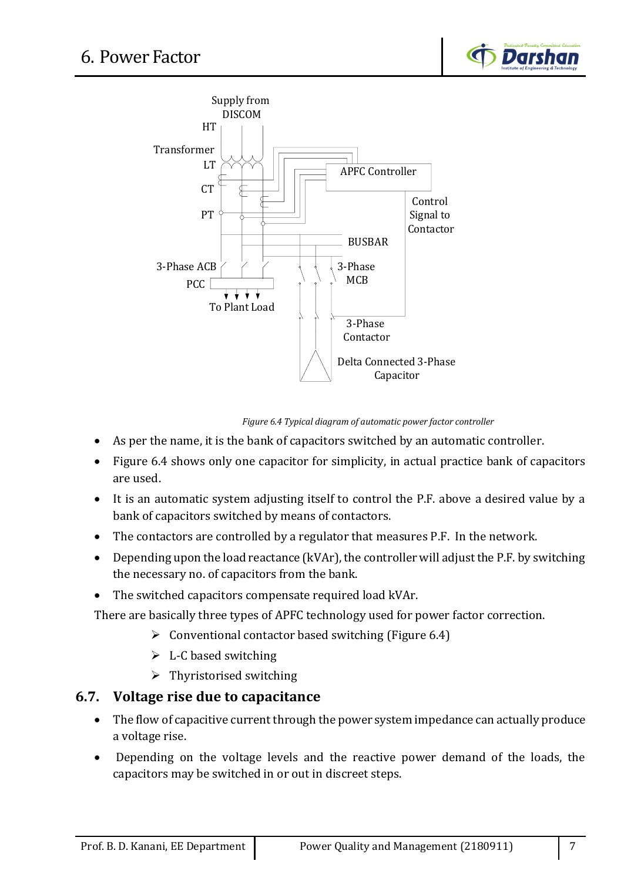



*Figure 6.4 Typical diagram of automatic power factor controller*

- As per the name, it is the bank of capacitors switched by an automatic controller.
- Figure 6.4 shows only one capacitor for simplicity, in actual practice bank of capacitors are used.
- It is an automatic system adjusting itself to control the P.F. above a desired value by a bank of capacitors switched by means of contactors.
- The contactors are controlled by a regulator that measures P.F. In the network.
- Depending upon the load reactance (kVAr), the controller will adjust the P.F. by switching the necessary no. of capacitors from the bank.
- The switched capacitors compensate required load kVAr.

There are basically three types of APFC technology used for power factor correction.

- $\triangleright$  Conventional contactor based switching (Figure 6.4)
- $\triangleright$  L-C based switching
- $\triangleright$  Thyristorised switching

#### **6.7. Voltage rise due to capacitance**

- The flow of capacitive current through the power system impedance can actually produce a voltage rise.
- Depending on the voltage levels and the reactive power demand of the loads, the capacitors may be switched in or out in discreet steps.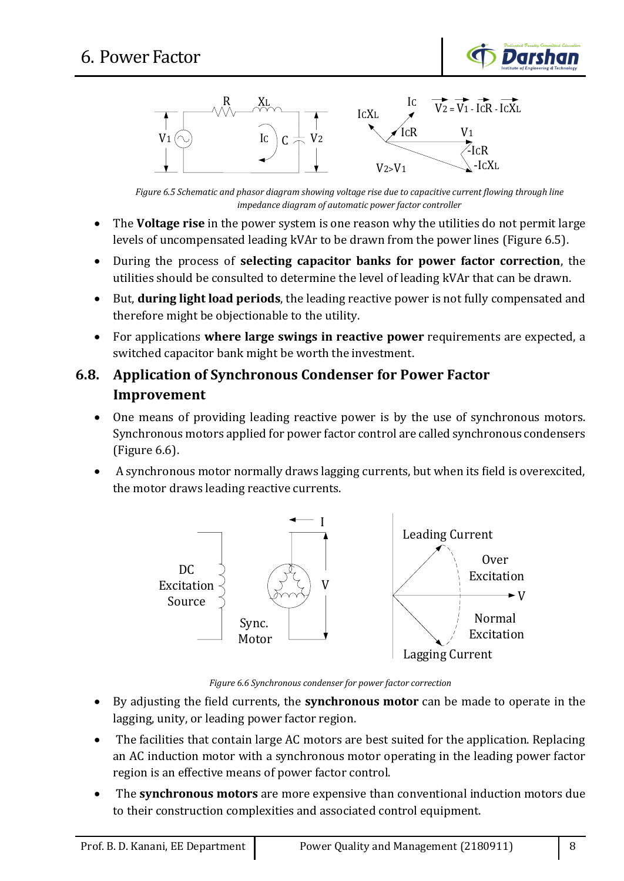



*Figure 6.5 Schematic and phasor diagram showing voltage rise due to capacitive current flowing through line impedance diagram of automatic power factor controller*

- The **Voltage rise** in the power system is one reason why the utilities do not permit large levels of uncompensated leading kVAr to be drawn from the power lines (Figure 6.5).
- During the process of **selecting capacitor banks for power factor correction**, the utilities should be consulted to determine the level of leading kVAr that can be drawn.
- But, **during light load periods**, the leading reactive power is not fully compensated and therefore might be objectionable to the utility.
- For applications **where large swings in reactive power** requirements are expected, a switched capacitor bank might be worth the investment.

# **6.8. Application of Synchronous Condenser for Power Factor Improvement**

- One means of providing leading reactive power is by the use of synchronous motors. Synchronous motors applied for power factor control are called synchronous condensers (Figure 6.6).
- A synchronous motor normally draws lagging currents, but when its field is overexcited, the motor draws leading reactive currents.



*Figure 6.6 Synchronous condenser for power factor correction*

- By adjusting the field currents, the **synchronous motor** can be made to operate in the lagging, unity, or leading power factor region.
- The facilities that contain large AC motors are best suited for the application. Replacing an AC induction motor with a synchronous motor operating in the leading power factor region is an effective means of power factor control.
- The **synchronous motors** are more expensive than conventional induction motors due to their construction complexities and associated control equipment.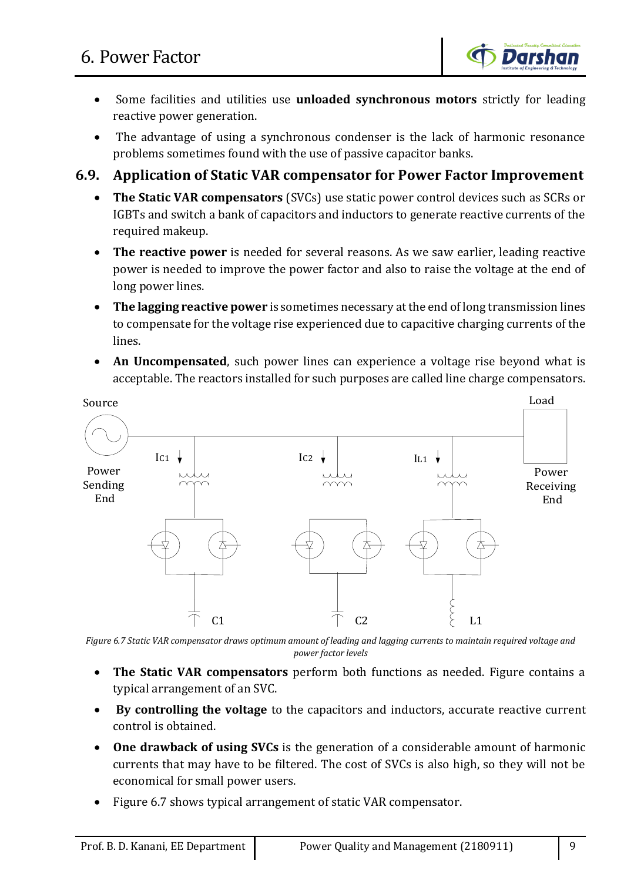

- Some facilities and utilities use **unloaded synchronous motors** strictly for leading reactive power generation.
- The advantage of using a synchronous condenser is the lack of harmonic resonance problems sometimes found with the use of passive capacitor banks.

## **6.9. Application of Static VAR compensator for Power Factor Improvement**

- **The Static VAR compensators** (SVCs) use static power control devices such as SCRs or IGBTs and switch a bank of capacitors and inductors to generate reactive currents of the required makeup.
- **The reactive power** is needed for several reasons. As we saw earlier, leading reactive power is needed to improve the power factor and also to raise the voltage at the end of long power lines.
- **The lagging reactive power** is sometimes necessary at the end of long transmission lines to compensate for the voltage rise experienced due to capacitive charging currents of the lines.
- **An Uncompensated**, such power lines can experience a voltage rise beyond what is acceptable. The reactors installed for such purposes are called line charge compensators.



*Figure 6.7 Static VAR compensator draws optimum amount of leading and lagging currents to maintain required voltage and power factor levels*

- **The Static VAR compensators** perform both functions as needed. Figure contains a typical arrangement of an SVC.
- **By controlling the voltage** to the capacitors and inductors, accurate reactive current control is obtained.
- **One drawback of using SVCs** is the generation of a considerable amount of harmonic currents that may have to be filtered. The cost of SVCs is also high, so they will not be economical for small power users.
- Figure 6.7 shows typical arrangement of static VAR compensator.